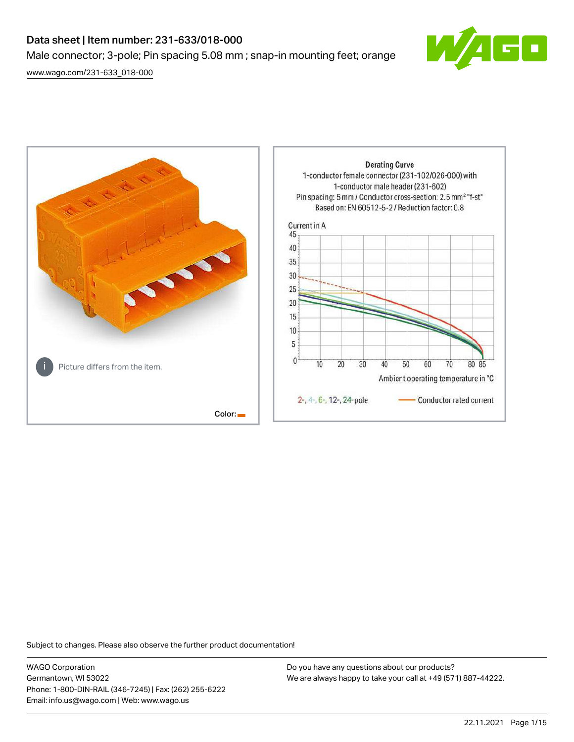# Data sheet | Item number: 231-633/018-000 Male connector; 3-pole; Pin spacing 5.08 mm ; snap-in mounting feet; orange

┎

[www.wago.com/231-633\\_018-000](http://www.wago.com/231-633_018-000)



Subject to changes. Please also observe the further product documentation!

WAGO Corporation Germantown, WI 53022 Phone: 1-800-DIN-RAIL (346-7245) | Fax: (262) 255-6222 Email: info.us@wago.com | Web: www.wago.us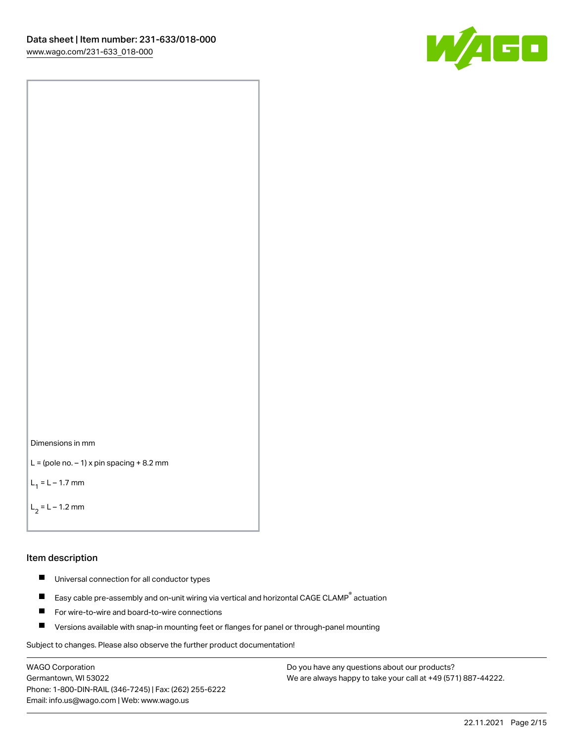



```
L = (pole no. -1) x pin spacing +8.2 mm
```
 $L_1 = L - 1.7$  mm

 $L_2 = L - 1.2$  mm

#### Item description

- $\blacksquare$ Universal connection for all conductor types
- Easy cable pre-assembly and on-unit wiring via vertical and horizontal CAGE CLAMP<sup>®</sup> actuation  $\blacksquare$
- $\blacksquare$ For wire-to-wire and board-to-wire connections
- $\blacksquare$ Versions available with snap-in mounting feet or flanges for panel or through-panel mounting

Subject to changes. Please also observe the further product documentation!

WAGO Corporation Germantown, WI 53022 Phone: 1-800-DIN-RAIL (346-7245) | Fax: (262) 255-6222 Email: info.us@wago.com | Web: www.wago.us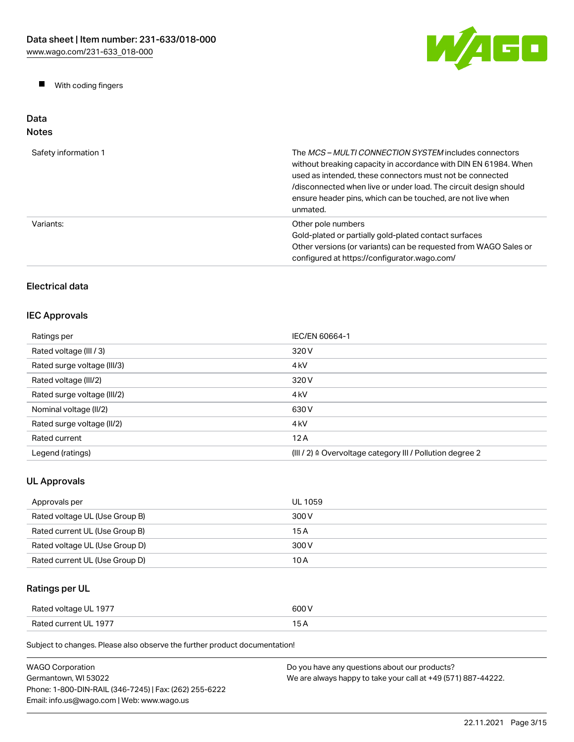W/AGO

 $\blacksquare$ With coding fingers

#### Data Notes

| Safety information 1 | The <i>MCS - MULTI CONNECTION SYSTEM</i> includes connectors<br>without breaking capacity in accordance with DIN EN 61984. When<br>used as intended, these connectors must not be connected<br>/disconnected when live or under load. The circuit design should<br>ensure header pins, which can be touched, are not live when<br>unmated. |
|----------------------|--------------------------------------------------------------------------------------------------------------------------------------------------------------------------------------------------------------------------------------------------------------------------------------------------------------------------------------------|
| Variants:            | Other pole numbers<br>Gold-plated or partially gold-plated contact surfaces<br>Other versions (or variants) can be requested from WAGO Sales or<br>configured at https://configurator.wago.com/                                                                                                                                            |

# Electrical data

# IEC Approvals

| Ratings per                 | IEC/EN 60664-1                                                       |
|-----------------------------|----------------------------------------------------------------------|
| Rated voltage (III / 3)     | 320 V                                                                |
| Rated surge voltage (III/3) | 4 <sub>k</sub> V                                                     |
| Rated voltage (III/2)       | 320 V                                                                |
| Rated surge voltage (III/2) | 4 <sub>k</sub> V                                                     |
| Nominal voltage (II/2)      | 630 V                                                                |
| Rated surge voltage (II/2)  | 4 <sub>k</sub> V                                                     |
| Rated current               | 12A                                                                  |
| Legend (ratings)            | (III / 2) $\triangleq$ Overvoltage category III / Pollution degree 2 |

# UL Approvals

| Approvals per                  | UL 1059 |
|--------------------------------|---------|
| Rated voltage UL (Use Group B) | 300 V   |
| Rated current UL (Use Group B) | 15 A    |
| Rated voltage UL (Use Group D) | 300 V   |
| Rated current UL (Use Group D) | 10 A    |

# Ratings per UL

| Rated voltage UL 1977 | 600 V |
|-----------------------|-------|
| Rated current UL 1977 |       |

| <b>WAGO Corporation</b>                                | Do you have any questions about our products?                 |
|--------------------------------------------------------|---------------------------------------------------------------|
| Germantown. WI 53022                                   | We are always happy to take your call at +49 (571) 887-44222. |
| Phone: 1-800-DIN-RAIL (346-7245)   Fax: (262) 255-6222 |                                                               |
| Email: info.us@wago.com   Web: www.wago.us             |                                                               |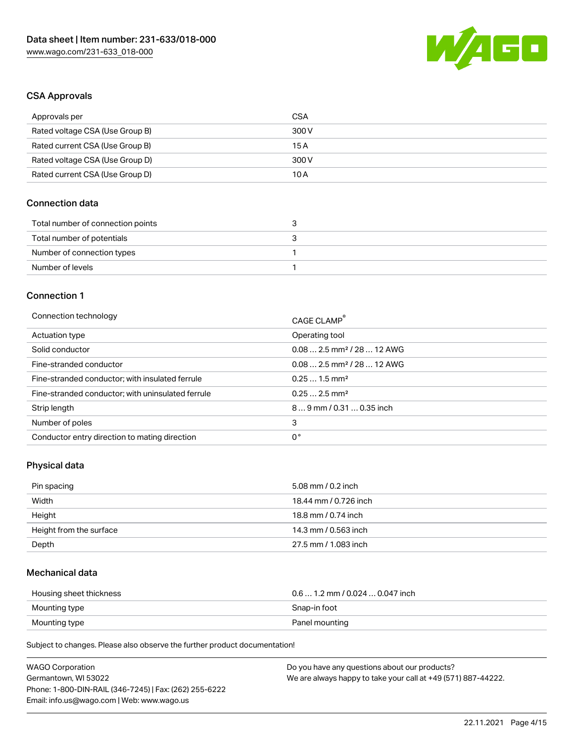

## CSA Approvals

| Approvals per                   | CSA   |
|---------------------------------|-------|
| Rated voltage CSA (Use Group B) | 300 V |
| Rated current CSA (Use Group B) | 15 A  |
| Rated voltage CSA (Use Group D) | 300 V |
| Rated current CSA (Use Group D) | 10 A  |

## Connection data

| Total number of connection points |  |
|-----------------------------------|--|
| Total number of potentials        |  |
| Number of connection types        |  |
| Number of levels                  |  |

#### Connection 1

| Connection technology                             | CAGE CLAMP®                            |
|---------------------------------------------------|----------------------------------------|
| Actuation type                                    | Operating tool                         |
| Solid conductor                                   | $0.082.5$ mm <sup>2</sup> / 28  12 AWG |
| Fine-stranded conductor                           | $0.082.5$ mm <sup>2</sup> / 28  12 AWG |
| Fine-stranded conductor; with insulated ferrule   | $0.251.5$ mm <sup>2</sup>              |
| Fine-stranded conductor; with uninsulated ferrule | $0.252.5$ mm <sup>2</sup>              |
| Strip length                                      | $89$ mm / 0.31  0.35 inch              |
| Number of poles                                   | 3                                      |
| Conductor entry direction to mating direction     | 0°                                     |

# Physical data

| Pin spacing             | 5.08 mm / 0.2 inch    |
|-------------------------|-----------------------|
| Width                   | 18.44 mm / 0.726 inch |
| Height                  | 18.8 mm / 0.74 inch   |
| Height from the surface | 14.3 mm / 0.563 inch  |
| Depth                   | 27.5 mm / 1.083 inch  |

## Mechanical data

| Housing sheet thickness | $0.6$ 1.2 mm / 0.024 $$ 0.047 inch |
|-------------------------|------------------------------------|
| Mounting type           | Snap-in foot                       |
| Mounting type           | Panel mounting                     |

| <b>WAGO Corporation</b>                                | Do you have any questions about our products?                 |
|--------------------------------------------------------|---------------------------------------------------------------|
| Germantown, WI 53022                                   | We are always happy to take your call at +49 (571) 887-44222. |
| Phone: 1-800-DIN-RAIL (346-7245)   Fax: (262) 255-6222 |                                                               |
| Email: info.us@wago.com   Web: www.wago.us             |                                                               |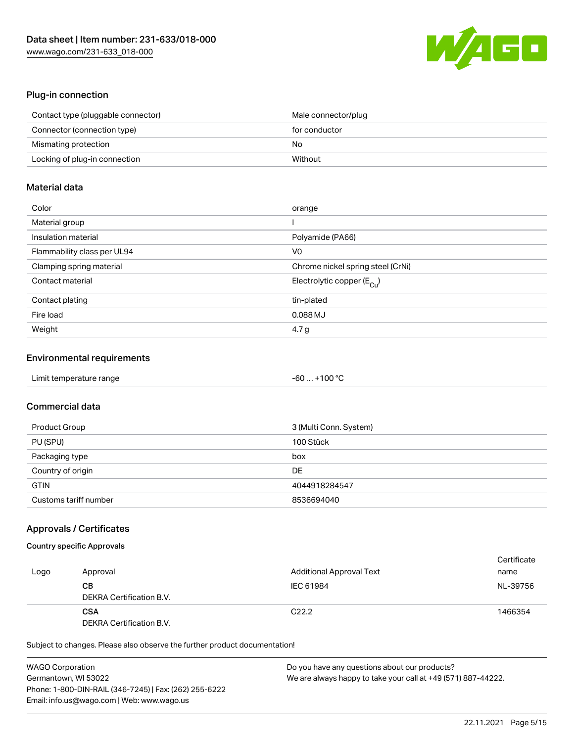

#### Plug-in connection

| Contact type (pluggable connector) | Male connector/plug |
|------------------------------------|---------------------|
| Connector (connection type)        | for conductor       |
| Mismating protection               | No                  |
| Locking of plug-in connection      | Without             |

## Material data

| Color                       | orange                                  |
|-----------------------------|-----------------------------------------|
| Material group              |                                         |
| Insulation material         | Polyamide (PA66)                        |
| Flammability class per UL94 | V0                                      |
| Clamping spring material    | Chrome nickel spring steel (CrNi)       |
| Contact material            | Electrolytic copper ( $E_{\text{Cu}}$ ) |
| Contact plating             | tin-plated                              |
| Fire load                   | $0.088$ MJ                              |
| Weight                      | 4.7 g                                   |

#### Environmental requirements

| Limit temperature range<br>the contract of the contract of the contract of the contract of the contract of the contract of the contract of | $-60+100 °C$ |  |
|--------------------------------------------------------------------------------------------------------------------------------------------|--------------|--|
|--------------------------------------------------------------------------------------------------------------------------------------------|--------------|--|

# Commercial data

| Product Group         | 3 (Multi Conn. System) |
|-----------------------|------------------------|
| PU (SPU)              | 100 Stück              |
| Packaging type        | box                    |
| Country of origin     | DE                     |
| <b>GTIN</b>           | 4044918284547          |
| Customs tariff number | 8536694040             |

#### Approvals / Certificates

## Country specific Approvals

| Logo | Approval                               | <b>Additional Approval Text</b> | Certificate<br>name |
|------|----------------------------------------|---------------------------------|---------------------|
|      | CВ<br>DEKRA Certification B.V.         | IEC 61984                       | NL-39756            |
|      | <b>CSA</b><br>DEKRA Certification B.V. | C <sub>22.2</sub>               | 1466354             |

| <b>WAGO Corporation</b>                                | Do you have any questions about our products?                 |
|--------------------------------------------------------|---------------------------------------------------------------|
| Germantown, WI 53022                                   | We are always happy to take your call at +49 (571) 887-44222. |
| Phone: 1-800-DIN-RAIL (346-7245)   Fax: (262) 255-6222 |                                                               |
| Email: info.us@wago.com   Web: www.wago.us             |                                                               |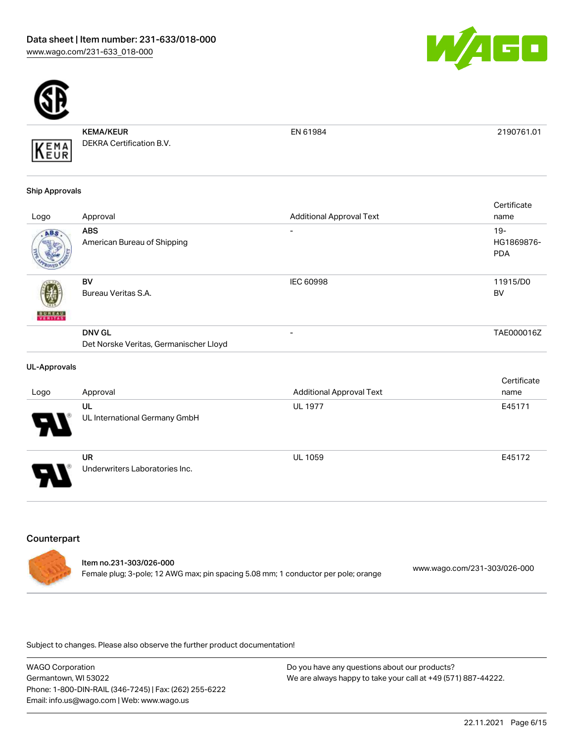



KEMA/KEUR DEKRA Certification B.V.

EN 61984 2190761.01

#### Ship Approvals

KEMA

|               |                                                         |                                 | Certificate                       |
|---------------|---------------------------------------------------------|---------------------------------|-----------------------------------|
| Logo          | Approval                                                | <b>Additional Approval Text</b> | name                              |
| ABS           | <b>ABS</b><br>American Bureau of Shipping               |                                 | $19-$<br>HG1869876-<br><b>PDA</b> |
| <b>BUREAU</b> | BV<br>Bureau Veritas S.A.                               | <b>IEC 60998</b>                | 11915/D0<br>BV                    |
|               | <b>DNV GL</b><br>Det Norske Veritas, Germanischer Lloyd | $\overline{\phantom{a}}$        | TAE000016Z                        |
|               |                                                         |                                 |                                   |

#### UL-Approvals

|                            |                                             |                                 | Certificate |
|----------------------------|---------------------------------------------|---------------------------------|-------------|
| Logo                       | Approval                                    | <b>Additional Approval Text</b> | name        |
|                            | UL                                          | <b>UL 1977</b>                  | E45171      |
| $\boldsymbol{\mathcal{A}}$ | UL International Germany GmbH               |                                 |             |
| 8                          | <b>UR</b><br>Underwriters Laboratories Inc. | <b>UL 1059</b>                  | E45172      |
|                            |                                             |                                 |             |

#### **Counterpart**

| ltem no.231-303/026-000                                                            |                              |
|------------------------------------------------------------------------------------|------------------------------|
| Female plug; 3-pole; 12 AWG max; pin spacing 5.08 mm; 1 conductor per pole; orange | www.wago.com/231-303/026-000 |

Subject to changes. Please also observe the further product documentation!

WAGO Corporation Germantown, WI 53022 Phone: 1-800-DIN-RAIL (346-7245) | Fax: (262) 255-6222 Email: info.us@wago.com | Web: www.wago.us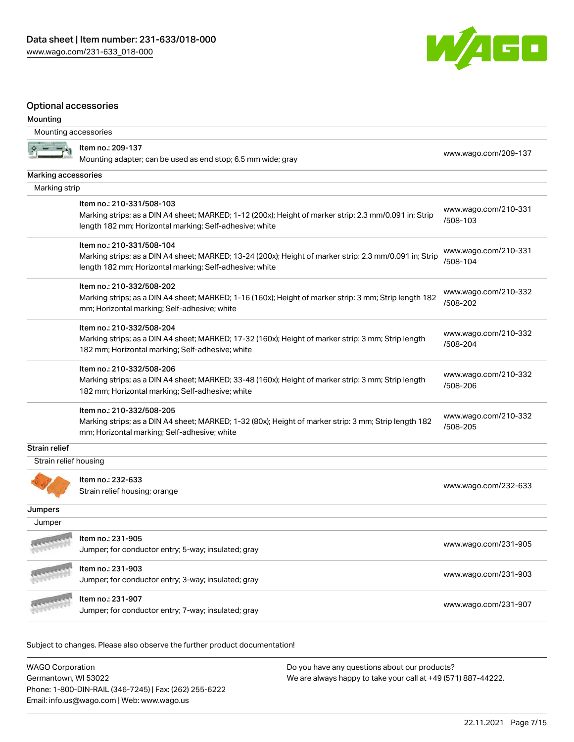

#### Optional accessories

#### Mounting

| Mounting accessories  |                                                                                                                                                         |                                  |
|-----------------------|---------------------------------------------------------------------------------------------------------------------------------------------------------|----------------------------------|
|                       | Item no.: 209-137<br>Mounting adapter; can be used as end stop; 6.5 mm wide; gray                                                                       | www.wago.com/209-137             |
| Marking accessories   |                                                                                                                                                         |                                  |
| Marking strip         |                                                                                                                                                         |                                  |
|                       | Item no.: 210-331/508-103<br>Marking strips; as a DIN A4 sheet; MARKED; 1-12 (200x); Height of marker strip: 2.3 mm/0.091 in; Strip                     | www.wago.com/210-331<br>/508-103 |
|                       | length 182 mm; Horizontal marking; Self-adhesive; white                                                                                                 |                                  |
|                       | Item no.: 210-331/508-104                                                                                                                               |                                  |
|                       | Marking strips; as a DIN A4 sheet; MARKED; 13-24 (200x); Height of marker strip: 2.3 mm/0.091 in; Strip                                                 | www.wago.com/210-331             |
|                       | length 182 mm; Horizontal marking; Self-adhesive; white                                                                                                 | /508-104                         |
|                       | Item no.: 210-332/508-202                                                                                                                               | www.wago.com/210-332             |
|                       | Marking strips; as a DIN A4 sheet; MARKED; 1-16 (160x); Height of marker strip: 3 mm; Strip length 182<br>mm; Horizontal marking; Self-adhesive; white  | /508-202                         |
|                       | Item no.: 210-332/508-204                                                                                                                               | www.wago.com/210-332             |
|                       | Marking strips; as a DIN A4 sheet; MARKED; 17-32 (160x); Height of marker strip: 3 mm; Strip length                                                     | /508-204                         |
|                       | 182 mm; Horizontal marking; Self-adhesive; white                                                                                                        |                                  |
|                       | Item no.: 210-332/508-206                                                                                                                               | www.wago.com/210-332             |
|                       | Marking strips; as a DIN A4 sheet; MARKED; 33-48 (160x); Height of marker strip: 3 mm; Strip length<br>182 mm; Horizontal marking; Self-adhesive; white | /508-206                         |
|                       | Item no.: 210-332/508-205                                                                                                                               | www.wago.com/210-332             |
|                       | Marking strips; as a DIN A4 sheet; MARKED; 1-32 (80x); Height of marker strip: 3 mm; Strip length 182<br>mm; Horizontal marking; Self-adhesive; white   | /508-205                         |
| <b>Strain relief</b>  |                                                                                                                                                         |                                  |
| Strain relief housing |                                                                                                                                                         |                                  |
|                       | Item no.: 232-633                                                                                                                                       |                                  |
|                       | Strain relief housing; orange                                                                                                                           | www.wago.com/232-633             |
| Jumpers               |                                                                                                                                                         |                                  |
| Jumper                |                                                                                                                                                         |                                  |
|                       | Item no.: 231-905                                                                                                                                       | www.wago.com/231-905             |
|                       | Jumper; for conductor entry; 5-way; insulated; gray                                                                                                     |                                  |
|                       | Item no.: 231-903                                                                                                                                       | www.wago.com/231-903             |
|                       | Jumper; for conductor entry; 3-way; insulated; gray                                                                                                     |                                  |
|                       | Item no.: 231-907                                                                                                                                       | www.wago.com/231-907             |
|                       | Jumper; for conductor entry; 7-way; insulated; gray                                                                                                     |                                  |

| <b>WAGO Corporation</b>                                | Do you have any questions about our products?                 |
|--------------------------------------------------------|---------------------------------------------------------------|
| Germantown, WI 53022                                   | We are always happy to take your call at +49 (571) 887-44222. |
| Phone: 1-800-DIN-RAIL (346-7245)   Fax: (262) 255-6222 |                                                               |
| Email: info.us@wago.com   Web: www.wago.us             |                                                               |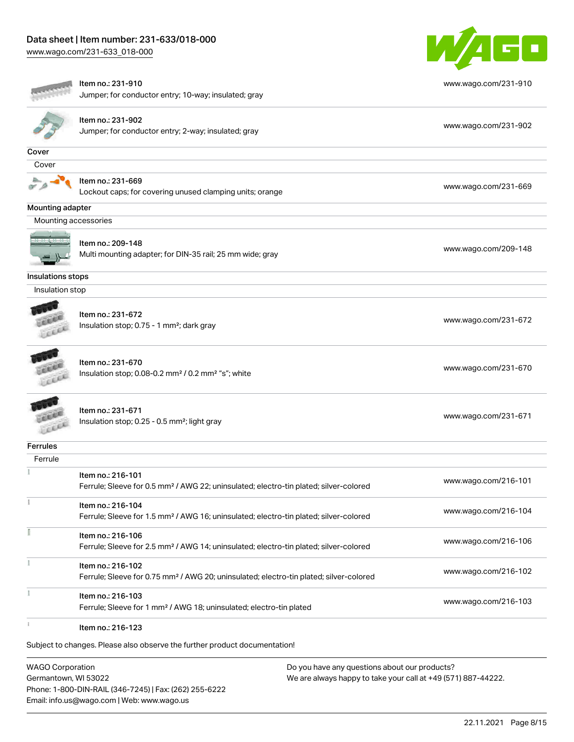[www.wago.com/231-633\\_018-000](http://www.wago.com/231-633_018-000)



|                   | Item no.: 231-910                                                                                  | www.wago.com/231-910 |
|-------------------|----------------------------------------------------------------------------------------------------|----------------------|
|                   | Jumper; for conductor entry; 10-way; insulated; gray                                               |                      |
|                   | Item no.: 231-902                                                                                  |                      |
|                   | Jumper; for conductor entry; 2-way; insulated; gray                                                | www.wago.com/231-902 |
| Cover             |                                                                                                    |                      |
| Cover             |                                                                                                    |                      |
|                   | Item no.: 231-669                                                                                  |                      |
|                   | Lockout caps; for covering unused clamping units; orange                                           | www.wago.com/231-669 |
| Mounting adapter  |                                                                                                    |                      |
|                   | Mounting accessories                                                                               |                      |
|                   | Item no.: 209-148                                                                                  |                      |
|                   | Multi mounting adapter; for DIN-35 rail; 25 mm wide; gray                                          | www.wago.com/209-148 |
|                   |                                                                                                    |                      |
| Insulations stops |                                                                                                    |                      |
| Insulation stop   |                                                                                                    |                      |
|                   |                                                                                                    |                      |
|                   | Item no.: 231-672                                                                                  | www.wago.com/231-672 |
|                   | Insulation stop; 0.75 - 1 mm <sup>2</sup> ; dark gray                                              |                      |
|                   |                                                                                                    |                      |
|                   | Item no.: 231-670                                                                                  | www.wago.com/231-670 |
| wa                | Insulation stop; 0.08-0.2 mm <sup>2</sup> / 0.2 mm <sup>2</sup> "s"; white                         |                      |
|                   |                                                                                                    |                      |
|                   | Item no.: 231-671                                                                                  | www.wago.com/231-671 |
| LEEL              | Insulation stop; 0.25 - 0.5 mm <sup>2</sup> ; light gray                                           |                      |
| Ferrules          |                                                                                                    |                      |
| Ferrule           |                                                                                                    |                      |
|                   | Item no.: 216-101                                                                                  |                      |
|                   | Ferrule; Sleeve for 0.5 mm <sup>2</sup> / AWG 22; uninsulated; electro-tin plated; silver-colored  | www.wago.com/216-101 |
|                   | Item no.: 216-104                                                                                  |                      |
|                   | Ferrule; Sleeve for 1.5 mm <sup>2</sup> / AWG 16; uninsulated; electro-tin plated; silver-colored  | www.wago.com/216-104 |
|                   | Item no.: 216-106                                                                                  |                      |
|                   | Ferrule; Sleeve for 2.5 mm <sup>2</sup> / AWG 14; uninsulated; electro-tin plated; silver-colored  | www.wago.com/216-106 |
|                   | Item no.: 216-102                                                                                  |                      |
|                   | Ferrule; Sleeve for 0.75 mm <sup>2</sup> / AWG 20; uninsulated; electro-tin plated; silver-colored | www.wago.com/216-102 |
|                   |                                                                                                    |                      |
|                   | Item no.: 216-103                                                                                  | www.wago.com/216-103 |
|                   | Ferrule; Sleeve for 1 mm <sup>2</sup> / AWG 18; uninsulated; electro-tin plated                    |                      |
|                   | Item no.: 216-123                                                                                  |                      |
|                   |                                                                                                    |                      |

WAGO Corporation Germantown, WI 53022 Phone: 1-800-DIN-RAIL (346-7245) | Fax: (262) 255-6222 Email: info.us@wago.com | Web: www.wago.us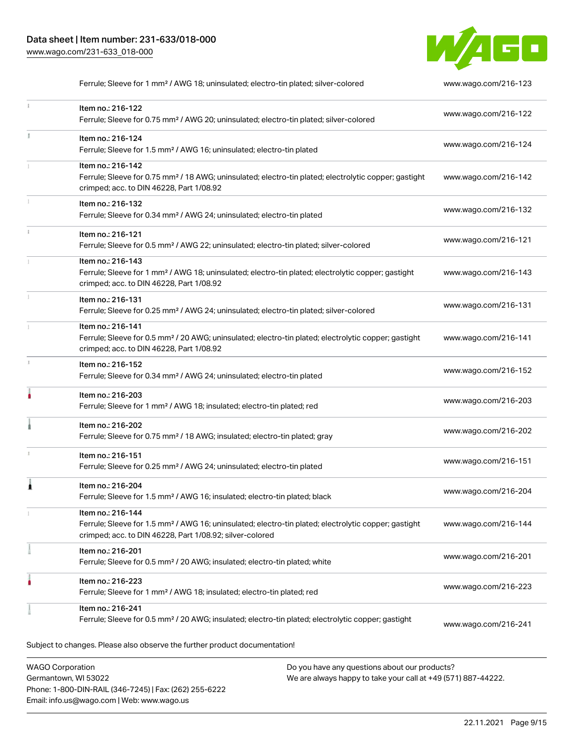

Ferrule; Sleeve for 1 mm² / AWG 18; uninsulated; electro-tin plated; silver-colored [www.wago.com/216-123](http://www.wago.com/216-123)  $\mathbf i$ Item no.: 216-122 Ferrule; Sleeve for 0.75 mm² / AWG 20; uninsulated; electro-tin plated; silver-colored [www.wago.com/216-122](http://www.wago.com/216-122) Item no.: 216-124 Ferrule; Sleeve for 1.5 mm<sup>2</sup> / AWG 16; uninsulated; electro-tin plated [www.wago.com/216-124](http://www.wago.com/216-124) Item no.: 216-142 Ferrule; Sleeve for 0.75 mm<sup>2</sup> / 18 AWG; uninsulated; electro-tin plated; electrolytic copper; gastight [www.wago.com/216-142](http://www.wago.com/216-142) crimped; acc. to DIN 46228, Part 1/08.92 Item no.: 216-132 Ferrule; Sleeve for 0.34 mm² / AWG 24; uninsulated; electro-tin plated [www.wago.com/216-132](http://www.wago.com/216-132) Item no.: 216-121 Ferrule; Sleeve for 0.5 mm² / AWG 22; uninsulated; electro-tin plated; silver-colored [www.wago.com/216-121](http://www.wago.com/216-121) Item no.: 216-143 Ferrule; Sleeve for 1 mm² / AWG 18; uninsulated; electro-tin plated; electrolytic copper; gastight [www.wago.com/216-143](http://www.wago.com/216-143) crimped; acc. to DIN 46228, Part 1/08.92 Item no.: 216-131 Ferrule; Sleeve for 0.25 mm² / AWG 24; uninsulated; electro-tin plated; silver-colored [www.wago.com/216-131](http://www.wago.com/216-131) Item no.: 216-141 Ferrule; Sleeve for 0.5 mm² / 20 AWG; uninsulated; electro-tin plated; electrolytic copper; gastight [www.wago.com/216-141](http://www.wago.com/216-141) crimped; acc. to DIN 46228, Part 1/08.92 Item no.: 216-152 Ferrule; Sleeve for 0.34 mm² / AWG 24; uninsulated; electro-tin plated [www.wago.com/216-152](http://www.wago.com/216-152) Item no.: 216-203 Ferrule; Sleeve for 1 mm² / AWG 18; insulated; electro-tin plated; red [www.wago.com/216-203](http://www.wago.com/216-203) Item no.: 216-202 Ferrule; Sleeve for 0.75 mm² / 18 AWG; insulated; electro-tin plated; gray [www.wago.com/216-202](http://www.wago.com/216-202) Item no.: 216-151 Ferrule; Sleeve for 0.25 mm² / AWG 24; uninsulated; electro-tin plated [www.wago.com/216-151](http://www.wago.com/216-151) Item no.: 216-204 Ferrule; Sleeve for 1.5 mm² / AWG 16; insulated; electro-tin plated; black [www.wago.com/216-204](http://www.wago.com/216-204) Item no.: 216-144 Ferrule; Sleeve for 1.5 mm² / AWG 16; uninsulated; electro-tin plated; electrolytic copper; gastight [www.wago.com/216-144](http://www.wago.com/216-144) crimped; acc. to DIN 46228, Part 1/08.92; silver-colored Item no.: 216-201 Ferrule; Sleeve for 0.5 mm² / 20 AWG; insulated; electro-tin plated; white [www.wago.com/216-201](http://www.wago.com/216-201) Item no.: 216-223 Ferrule; Sleeve for 1 mm² / AWG 18; insulated; electro-tin plated; red [www.wago.com/216-223](http://www.wago.com/216-223) Item no.: 216-241 Ferrule; Sleeve for 0.5 mm² / 20 AWG; insulated; electro-tin plated; electrolytic copper; gastight [www.wago.com/216-241](http://www.wago.com/216-241).<br>Subject to changes. Please also observe the further product documentation!

WAGO Corporation Germantown, WI 53022 Phone: 1-800-DIN-RAIL (346-7245) | Fax: (262) 255-6222 Email: info.us@wago.com | Web: www.wago.us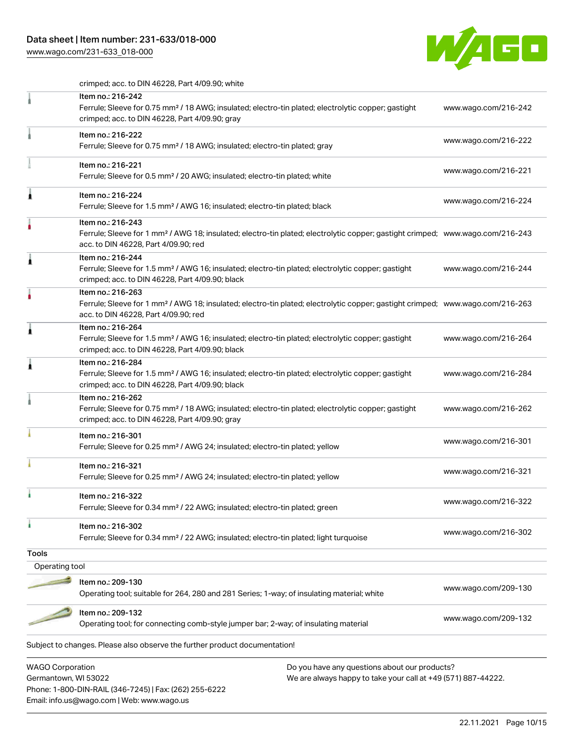## Data sheet | Item number: 231-633/018-000

Phone: 1-800-DIN-RAIL (346-7245) | Fax: (262) 255-6222

Email: info.us@wago.com | Web: www.wago.us

[www.wago.com/231-633\\_018-000](http://www.wago.com/231-633_018-000)



crimped; acc. to DIN 46228, Part 4/09.90; white

|                         | Item no.: 216-242<br>Ferrule; Sleeve for 0.75 mm <sup>2</sup> / 18 AWG; insulated; electro-tin plated; electrolytic copper; gastight                                                                    |                                                               | www.wago.com/216-242 |
|-------------------------|---------------------------------------------------------------------------------------------------------------------------------------------------------------------------------------------------------|---------------------------------------------------------------|----------------------|
|                         | crimped; acc. to DIN 46228, Part 4/09.90; gray                                                                                                                                                          |                                                               |                      |
|                         | Item no.: 216-222<br>Ferrule; Sleeve for 0.75 mm <sup>2</sup> / 18 AWG; insulated; electro-tin plated; gray                                                                                             |                                                               | www.wago.com/216-222 |
|                         | Item no.: 216-221<br>Ferrule; Sleeve for 0.5 mm <sup>2</sup> / 20 AWG; insulated; electro-tin plated; white                                                                                             |                                                               | www.wago.com/216-221 |
| Â                       | Item no.: 216-224<br>Ferrule; Sleeve for 1.5 mm <sup>2</sup> / AWG 16; insulated; electro-tin plated; black                                                                                             |                                                               | www.wago.com/216-224 |
|                         | Item no.: 216-243<br>Ferrule; Sleeve for 1 mm <sup>2</sup> / AWG 18; insulated; electro-tin plated; electrolytic copper; gastight crimped; www.wago.com/216-243<br>acc. to DIN 46228, Part 4/09.90; red |                                                               |                      |
| Â                       | Item no.: 216-244<br>Ferrule; Sleeve for 1.5 mm <sup>2</sup> / AWG 16; insulated; electro-tin plated; electrolytic copper; gastight<br>crimped; acc. to DIN 46228, Part 4/09.90; black                  |                                                               | www.wago.com/216-244 |
|                         | Item no.: 216-263<br>Ferrule; Sleeve for 1 mm <sup>2</sup> / AWG 18; insulated; electro-tin plated; electrolytic copper; gastight crimped; www.wago.com/216-263<br>acc. to DIN 46228, Part 4/09.90; red |                                                               |                      |
| Â                       | Item no.: 216-264<br>Ferrule; Sleeve for 1.5 mm <sup>2</sup> / AWG 16; insulated; electro-tin plated; electrolytic copper; gastight<br>crimped; acc. to DIN 46228, Part 4/09.90; black                  |                                                               | www.wago.com/216-264 |
| Â                       | Item no.: 216-284<br>Ferrule; Sleeve for 1.5 mm <sup>2</sup> / AWG 16; insulated; electro-tin plated; electrolytic copper; gastight<br>crimped; acc. to DIN 46228, Part 4/09.90; black                  |                                                               | www.wago.com/216-284 |
|                         | Item no.: 216-262<br>Ferrule; Sleeve for 0.75 mm <sup>2</sup> / 18 AWG; insulated; electro-tin plated; electrolytic copper; gastight<br>crimped; acc. to DIN 46228, Part 4/09.90; gray                  |                                                               | www.wago.com/216-262 |
|                         | Item no.: 216-301<br>Ferrule; Sleeve for 0.25 mm <sup>2</sup> / AWG 24; insulated; electro-tin plated; yellow                                                                                           |                                                               | www.wago.com/216-301 |
|                         | Item no.: 216-321<br>Ferrule; Sleeve for 0.25 mm <sup>2</sup> / AWG 24; insulated; electro-tin plated; yellow                                                                                           |                                                               | www.wago.com/216-321 |
|                         | Item no.: 216-322<br>Ferrule; Sleeve for 0.34 mm <sup>2</sup> / 22 AWG; insulated; electro-tin plated; green                                                                                            |                                                               | www.wago.com/216-322 |
| ۸                       | Item no.: 216-302<br>Ferrule; Sleeve for 0.34 mm <sup>2</sup> / 22 AWG; insulated; electro-tin plated; light turquoise                                                                                  |                                                               | www.wago.com/216-302 |
| <b>Tools</b>            |                                                                                                                                                                                                         |                                                               |                      |
| Operating tool          |                                                                                                                                                                                                         |                                                               |                      |
|                         | Item no.: 209-130                                                                                                                                                                                       |                                                               | www.wago.com/209-130 |
|                         | Operating tool; suitable for 264, 280 and 281 Series; 1-way; of insulating material; white                                                                                                              |                                                               |                      |
|                         | Item no.: 209-132<br>Operating tool; for connecting comb-style jumper bar; 2-way; of insulating material                                                                                                |                                                               | www.wago.com/209-132 |
|                         | Subject to changes. Please also observe the further product documentation!                                                                                                                              |                                                               |                      |
| <b>WAGO Corporation</b> |                                                                                                                                                                                                         | Do you have any questions about our products?                 |                      |
| Germantown, WI 53022    |                                                                                                                                                                                                         | We are always happy to take your call at +49 (571) 887-44222. |                      |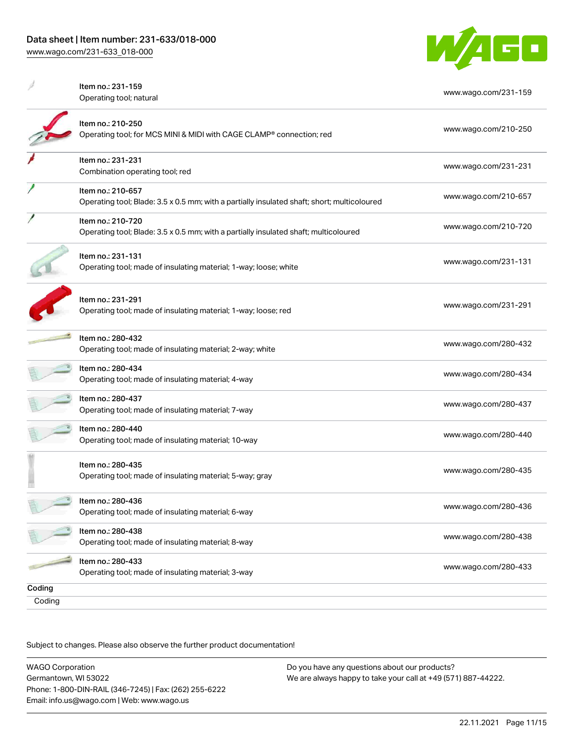

|        | Item no.: 231-159                                                                           | www.wago.com/231-159 |  |
|--------|---------------------------------------------------------------------------------------------|----------------------|--|
|        | Operating tool; natural                                                                     |                      |  |
|        | Item no.: 210-250                                                                           | www.wago.com/210-250 |  |
|        | Operating tool; for MCS MINI & MIDI with CAGE CLAMP® connection; red                        |                      |  |
|        | Item no.: 231-231                                                                           |                      |  |
|        | Combination operating tool; red                                                             | www.wago.com/231-231 |  |
|        | Item no.: 210-657                                                                           | www.wago.com/210-657 |  |
|        | Operating tool; Blade: 3.5 x 0.5 mm; with a partially insulated shaft; short; multicoloured |                      |  |
|        | Item no.: 210-720                                                                           | www.wago.com/210-720 |  |
|        | Operating tool; Blade: 3.5 x 0.5 mm; with a partially insulated shaft; multicoloured        |                      |  |
|        | Item no.: 231-131                                                                           |                      |  |
|        | Operating tool; made of insulating material; 1-way; loose; white                            | www.wago.com/231-131 |  |
|        |                                                                                             |                      |  |
|        | Item no.: 231-291                                                                           | www.wago.com/231-291 |  |
|        | Operating tool; made of insulating material; 1-way; loose; red                              |                      |  |
|        | Item no.: 280-432                                                                           | www.wago.com/280-432 |  |
|        | Operating tool; made of insulating material; 2-way; white                                   |                      |  |
|        | Item no.: 280-434                                                                           | www.wago.com/280-434 |  |
|        | Operating tool; made of insulating material; 4-way                                          |                      |  |
|        | Item no.: 280-437                                                                           | www.wago.com/280-437 |  |
|        | Operating tool; made of insulating material; 7-way                                          |                      |  |
|        | Item no.: 280-440                                                                           | www.wago.com/280-440 |  |
|        | Operating tool; made of insulating material; 10-way                                         |                      |  |
|        | Item no.: 280-435                                                                           |                      |  |
|        | Operating tool; made of insulating material; 5-way; gray                                    | www.wago.com/280-435 |  |
|        | Item no.: 280-436                                                                           | www.wago.com/280-436 |  |
|        | Operating tool; made of insulating material; 6-way                                          |                      |  |
|        | Item no.: 280-438                                                                           | www.wago.com/280-438 |  |
|        | Operating tool; made of insulating material; 8-way                                          |                      |  |
|        | Item no.: 280-433                                                                           | www.wago.com/280-433 |  |
|        | Operating tool; made of insulating material; 3-way                                          |                      |  |
| Coding |                                                                                             |                      |  |
| Coding |                                                                                             |                      |  |

Subject to changes. Please also observe the further product documentation!

WAGO Corporation Germantown, WI 53022 Phone: 1-800-DIN-RAIL (346-7245) | Fax: (262) 255-6222 Email: info.us@wago.com | Web: www.wago.us Do you have any questions about our products? We are always happy to take your call at +49 (571) 887-44222.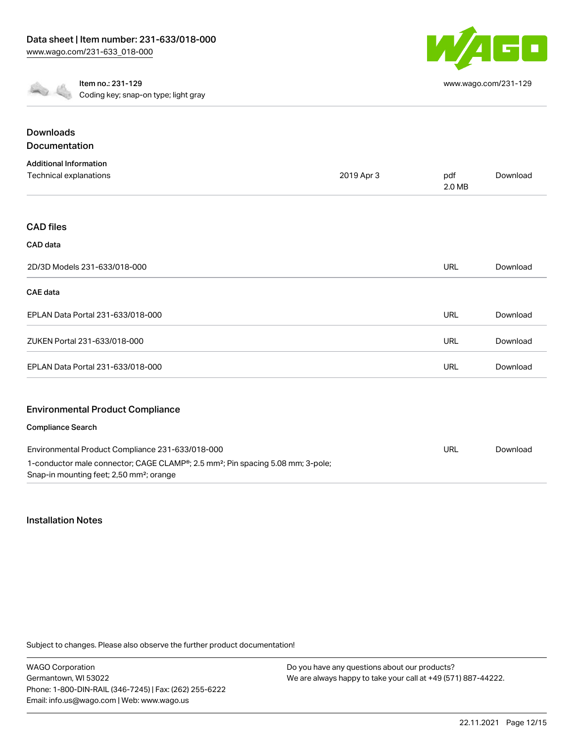

[www.wago.com/231-129](http://www.wago.com/231-129)

Item no.: 231-129 Coding key; snap-on type; light gray

| <b>Downloads</b>                                                                                                                                                 |            |               |          |
|------------------------------------------------------------------------------------------------------------------------------------------------------------------|------------|---------------|----------|
| <b>Documentation</b>                                                                                                                                             |            |               |          |
| <b>Additional Information</b>                                                                                                                                    |            |               |          |
| Technical explanations                                                                                                                                           | 2019 Apr 3 | pdf<br>2.0 MB | Download |
|                                                                                                                                                                  |            |               |          |
| <b>CAD files</b>                                                                                                                                                 |            |               |          |
| CAD data                                                                                                                                                         |            |               |          |
| 2D/3D Models 231-633/018-000                                                                                                                                     |            | <b>URL</b>    | Download |
| <b>CAE</b> data                                                                                                                                                  |            |               |          |
| EPLAN Data Portal 231-633/018-000                                                                                                                                |            | URL           | Download |
| ZUKEN Portal 231-633/018-000                                                                                                                                     |            | <b>URL</b>    | Download |
| EPLAN Data Portal 231-633/018-000                                                                                                                                |            | <b>URL</b>    | Download |
|                                                                                                                                                                  |            |               |          |
| <b>Environmental Product Compliance</b>                                                                                                                          |            |               |          |
| Compliance Search                                                                                                                                                |            |               |          |
| Environmental Product Compliance 231-633/018-000                                                                                                                 |            | <b>URL</b>    | Download |
| 1-conductor male connector; CAGE CLAMP <sup>®</sup> ; 2.5 mm <sup>2</sup> ; Pin spacing 5.08 mm; 3-pole;<br>Snap-in mounting feet; 2,50 mm <sup>2</sup> ; orange |            |               |          |

#### Installation Notes

Subject to changes. Please also observe the further product documentation!

WAGO Corporation Germantown, WI 53022 Phone: 1-800-DIN-RAIL (346-7245) | Fax: (262) 255-6222 Email: info.us@wago.com | Web: www.wago.us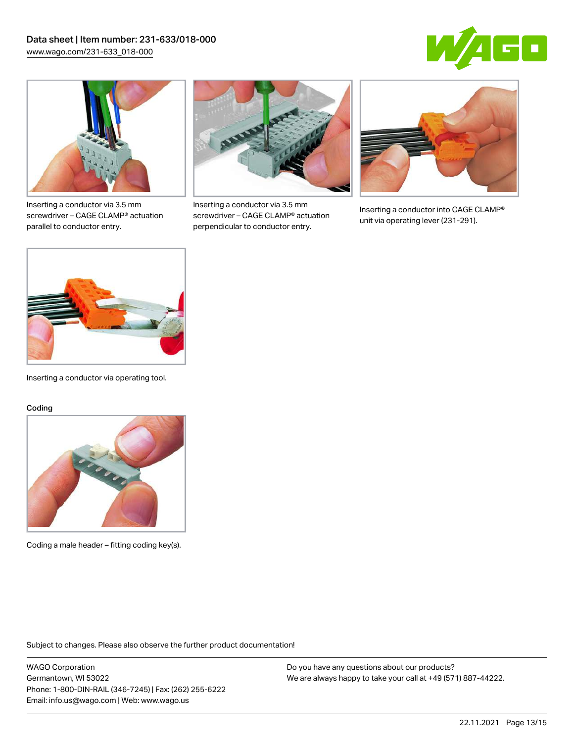



Inserting a conductor via 3.5 mm screwdriver – CAGE CLAMP® actuation parallel to conductor entry.



Inserting a conductor via 3.5 mm screwdriver – CAGE CLAMP® actuation perpendicular to conductor entry.



Inserting a conductor into CAGE CLAMP® unit via operating lever (231-291).



Inserting a conductor via operating tool.

#### Coding



Coding a male header – fitting coding key(s).

Subject to changes. Please also observe the further product documentation!

WAGO Corporation Germantown, WI 53022 Phone: 1-800-DIN-RAIL (346-7245) | Fax: (262) 255-6222 Email: info.us@wago.com | Web: www.wago.us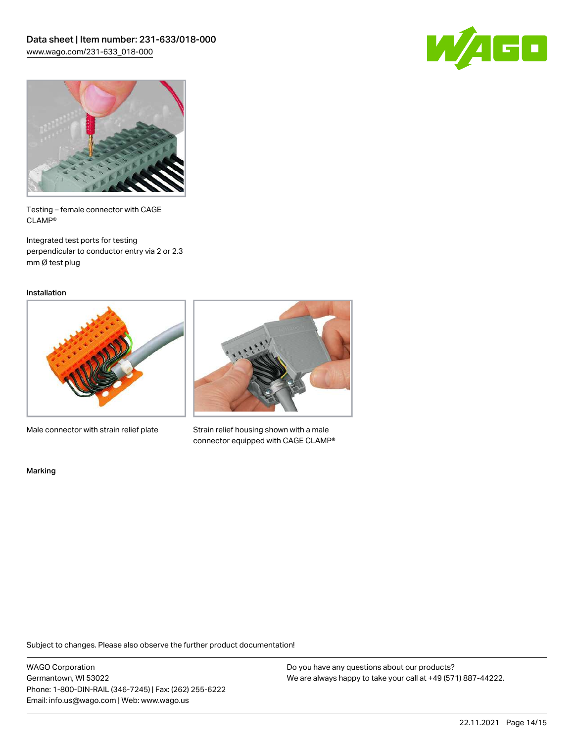



Testing – female connector with CAGE CLAMP®

Integrated test ports for testing perpendicular to conductor entry via 2 or 2.3 mm Ø test plug

Installation



Male connector with strain relief plate



Strain relief housing shown with a male connector equipped with CAGE CLAMP®

Marking

Subject to changes. Please also observe the further product documentation!

WAGO Corporation Germantown, WI 53022 Phone: 1-800-DIN-RAIL (346-7245) | Fax: (262) 255-6222 Email: info.us@wago.com | Web: www.wago.us